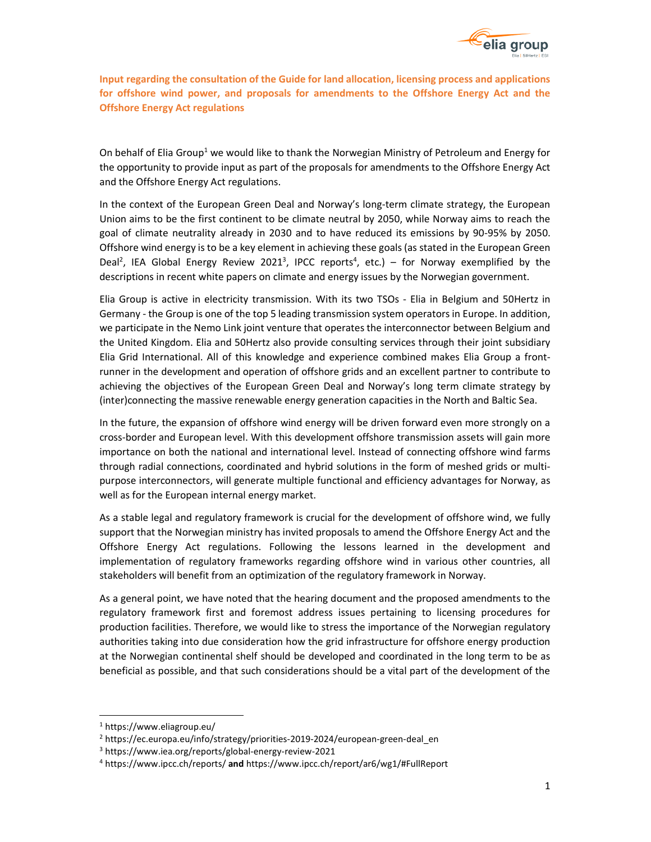

**Input regarding the consultation of the Guide for land allocation, licensing process and applications for offshore wind power, and proposals for amendments to the Offshore Energy Act and the Offshore Energy Act regulations** 

On behalf of Elia Group<sup>1</sup> we would like to thank the Norwegian Ministry of Petroleum and Energy for the opportunity to provide input as part of the proposals for amendments to the Offshore Energy Act and the Offshore Energy Act regulations.

In the context of the European Green Deal and Norway's long-term climate strategy, the European Union aims to be the first continent to be climate neutral by 2050, while Norway aims to reach the goal of climate neutrality already in 2030 and to have reduced its emissions by 90-95% by 2050. Offshore wind energy is to be a key element in achieving these goals (as stated in the European Green Deal<sup>2</sup>, IEA Global Energy Review 2021<sup>3</sup>, IPCC reports<sup>4</sup>, etc.) – for Norway exemplified by the descriptions in recent white papers on climate and energy issues by the Norwegian government.

Elia Group is active in electricity transmission. With its two TSOs - Elia in Belgium and 50Hertz in Germany - the Group is one of the top 5 leading transmission system operators in Europe. In addition, we participate in the Nemo Link joint venture that operates the interconnector between Belgium and the United Kingdom. Elia and 50Hertz also provide consulting services through their joint subsidiary Elia Grid International. All of this knowledge and experience combined makes Elia Group a frontrunner in the development and operation of offshore grids and an excellent partner to contribute to achieving the objectives of the European Green Deal and Norway's long term climate strategy by (inter)connecting the massive renewable energy generation capacities in the North and Baltic Sea.

In the future, the expansion of offshore wind energy will be driven forward even more strongly on a cross-border and European level. With this development offshore transmission assets will gain more importance on both the national and international level. Instead of connecting offshore wind farms through radial connections, coordinated and hybrid solutions in the form of meshed grids or multipurpose interconnectors, will generate multiple functional and efficiency advantages for Norway, as well as for the European internal energy market.

As a stable legal and regulatory framework is crucial for the development of offshore wind, we fully support that the Norwegian ministry has invited proposals to amend the Offshore Energy Act and the Offshore Energy Act regulations. Following the lessons learned in the development and implementation of regulatory frameworks regarding offshore wind in various other countries, all stakeholders will benefit from an optimization of the regulatory framework in Norway.

As a general point, we have noted that the hearing document and the proposed amendments to the regulatory framework first and foremost address issues pertaining to licensing procedures for production facilities. Therefore, we would like to stress the importance of the Norwegian regulatory authorities taking into due consideration how the grid infrastructure for offshore energy production at the Norwegian continental shelf should be developed and coordinated in the long term to be as beneficial as possible, and that such considerations should be a vital part of the development of the

l,

<sup>1</sup> https://www.eliagroup.eu/

<sup>&</sup>lt;sup>2</sup> https://ec.europa.eu/info/strategy/priorities-2019-2024/european-green-deal\_en

<sup>3</sup> https://www.iea.org/reports/global-energy-review-2021

<sup>4</sup> https://www.ipcc.ch/reports/ **and** https://www.ipcc.ch/report/ar6/wg1/#FullReport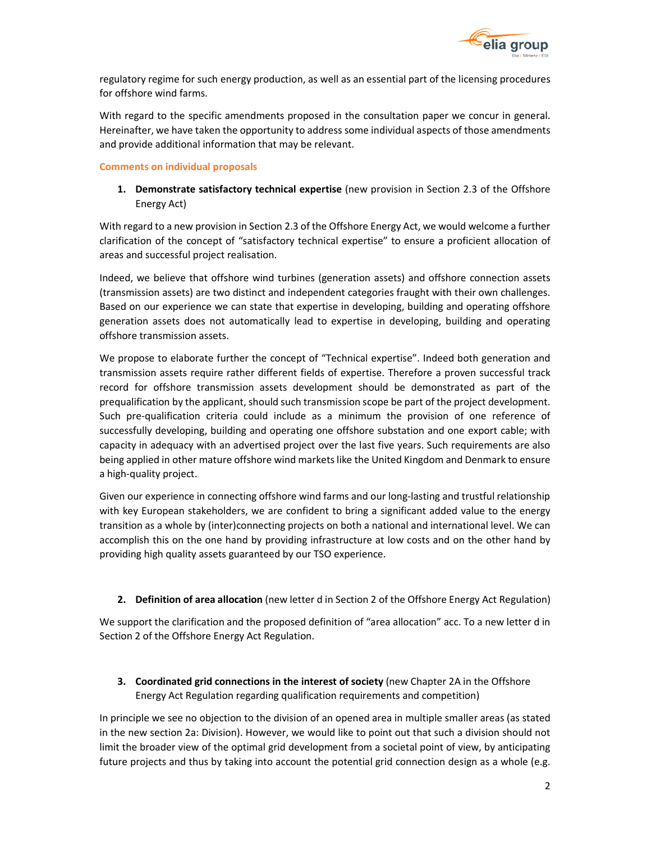

regulatory regime for such energy production, as well as an essential part of the licensing procedures for offshore wind farms.

With regard to the specific amendments proposed in the consultation paper we concur in general. Hereinafter, we have taken the opportunity to address some individual aspects of those amendments and provide additional information that may be relevant.

## **Comments on individual proposals**

**1. Demonstrate satisfactory technical expertise** (new provision in Section 2.3 of the Offshore Energy Act)

With regard to a new provision in Section 2.3 of the Offshore Energy Act, we would welcome a further clarification of the concept of "satisfactory technical expertise" to ensure a proficient allocation of areas and successful project realisation.

Indeed, we believe that offshore wind turbines (generation assets) and offshore connection assets (transmission assets) are two distinct and independent categories fraught with their own challenges. Based on our experience we can state that expertise in developing, building and operating offshore generation assets does not automatically lead to expertise in developing, building and operating offshore transmission assets.

We propose to elaborate further the concept of "Technical expertise". Indeed both generation and transmission assets require rather different fields of expertise. Therefore a proven successful track record for offshore transmission assets development should be demonstrated as part of the prequalification by the applicant, should such transmission scope be part of the project development. Such pre-qualification criteria could include as a minimum the provision of one reference of successfully developing, building and operating one offshore substation and one export cable; with capacity in adequacy with an advertised project over the last five years. Such requirements are also being applied in other mature offshore wind markets like the United Kingdom and Denmark to ensure a high-quality project.

Given our experience in connecting offshore wind farms and our long-lasting and trustful relationship with key European stakeholders, we are confident to bring a significant added value to the energy transition as a whole by (inter)connecting projects on both a national and international level. We can accomplish this on the one hand by providing infrastructure at low costs and on the other hand by providing high quality assets guaranteed by our TSO experience.

**2. Definition of area allocation** (new letter d in Section 2 of the Offshore Energy Act Regulation)

We support the clarification and the proposed definition of "area allocation" acc. To a new letter d in Section 2 of the Offshore Energy Act Regulation.

**3. Coordinated grid connections in the interest of society** (new Chapter 2A in the Offshore Energy Act Regulation regarding qualification requirements and competition)

In principle we see no objection to the division of an opened area in multiple smaller areas (as stated in the new section 2a: Division). However, we would like to point out that such a division should not limit the broader view of the optimal grid development from a societal point of view, by anticipating future projects and thus by taking into account the potential grid connection design as a whole (e.g.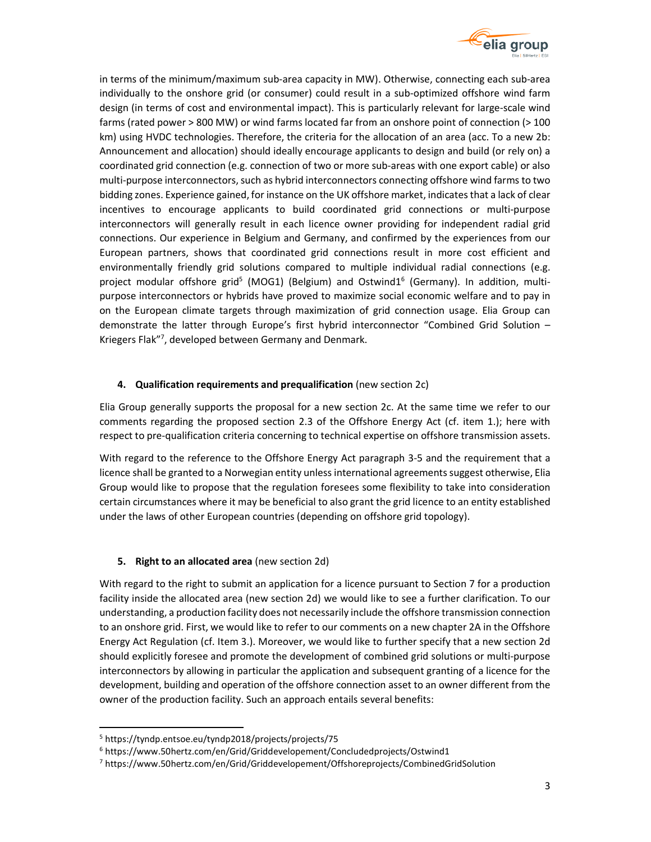

in terms of the minimum/maximum sub-area capacity in MW). Otherwise, connecting each sub-area individually to the onshore grid (or consumer) could result in a sub-optimized offshore wind farm design (in terms of cost and environmental impact). This is particularly relevant for large-scale wind farms (rated power > 800 MW) or wind farms located far from an onshore point of connection (> 100 km) using HVDC technologies. Therefore, the criteria for the allocation of an area (acc. To a new 2b: Announcement and allocation) should ideally encourage applicants to design and build (or rely on) a coordinated grid connection (e.g. connection of two or more sub-areas with one export cable) or also multi-purpose interconnectors, such as hybrid interconnectors connecting offshore wind farms to two bidding zones. Experience gained, for instance on the UK offshore market, indicates that a lack of clear incentives to encourage applicants to build coordinated grid connections or multi-purpose interconnectors will generally result in each licence owner providing for independent radial grid connections. Our experience in Belgium and Germany, and confirmed by the experiences from our European partners, shows that coordinated grid connections result in more cost efficient and environmentally friendly grid solutions compared to multiple individual radial connections (e.g. project modular offshore grid<sup>5</sup> (MOG1) (Belgium) and Ostwind1<sup>6</sup> (Germany). In addition, multipurpose interconnectors or hybrids have proved to maximize social economic welfare and to pay in on the European climate targets through maximization of grid connection usage. Elia Group can demonstrate the latter through Europe's first hybrid interconnector "Combined Grid Solution – Kriegers Flak"<sup>7</sup> , developed between Germany and Denmark.

## **4. Qualification requirements and prequalification** (new section 2c)

Elia Group generally supports the proposal for a new section 2c. At the same time we refer to our comments regarding the proposed section 2.3 of the Offshore Energy Act (cf. item 1.); here with respect to pre-qualification criteria concerning to technical expertise on offshore transmission assets.

With regard to the reference to the Offshore Energy Act paragraph 3-5 and the requirement that a licence shall be granted to a Norwegian entity unless international agreements suggest otherwise, Elia Group would like to propose that the regulation foresees some flexibility to take into consideration certain circumstances where it may be beneficial to also grant the grid licence to an entity established under the laws of other European countries (depending on offshore grid topology).

## **5. Right to an allocated area** (new section 2d)

With regard to the right to submit an application for a licence pursuant to Section 7 for a production facility inside the allocated area (new section 2d) we would like to see a further clarification. To our understanding, a production facility does not necessarily include the offshore transmission connection to an onshore grid. First, we would like to refer to our comments on a new chapter 2A in the Offshore Energy Act Regulation (cf. Item 3.). Moreover, we would like to further specify that a new section 2d should explicitly foresee and promote the development of combined grid solutions or multi-purpose interconnectors by allowing in particular the application and subsequent granting of a licence for the development, building and operation of the offshore connection asset to an owner different from the owner of the production facility. Such an approach entails several benefits:

l,

<sup>5</sup> https://tyndp.entsoe.eu/tyndp2018/projects/projects/75

<sup>&</sup>lt;sup>6</sup> https://www.50hertz.com/en/Grid/Griddevelopement/Concludedprojects/Ostwind1

<sup>7</sup> https://www.50hertz.com/en/Grid/Griddevelopement/Offshoreprojects/CombinedGridSolution